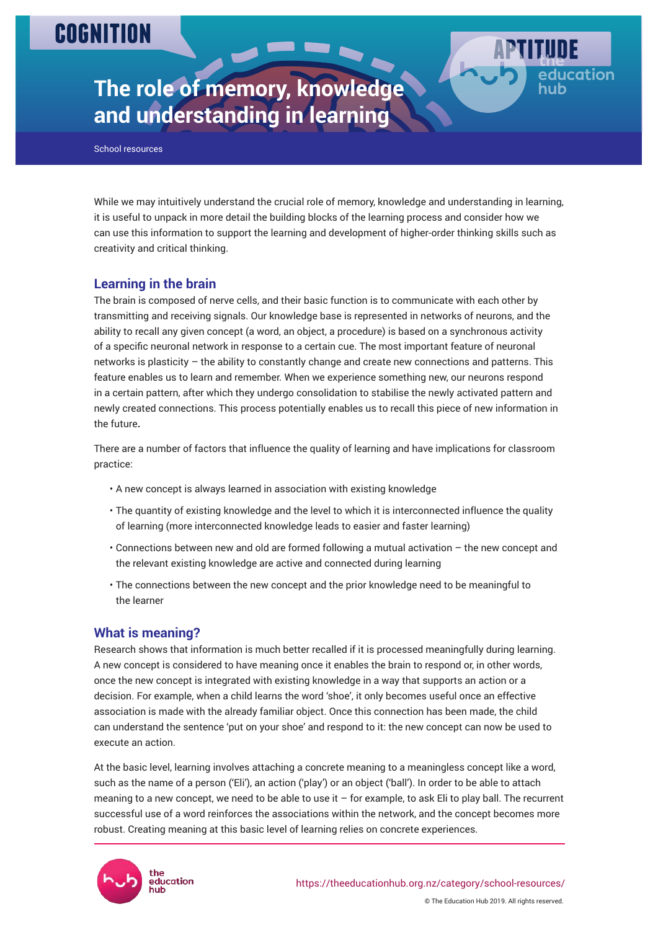# **COGNITION**



School resources

While we may intuitively understand the crucial role of memory, knowledge and understanding in learning, it is useful to unpack in more detail the building blocks of the learning process and consider how we can use this information to support the learning and development of higher-order thinking skills such as creativity and critical thinking.

Page 1

ducation

# **Learning in the brain**

The brain is composed of nerve cells, and their basic function is to communicate with each other by transmitting and receiving signals. Our knowledge base is represented in networks of neurons, and the ability to recall any given concept (a word, an object, a procedure) is based on a synchronous activity of a specific neuronal network in response to a certain cue. The most important feature of neuronal networks is plasticity – the ability to constantly change and create new connections and patterns. This feature enables us to learn and remember. When we experience something new, our neurons respond in a certain pattern, after which they undergo consolidation to stabilise the newly activated pattern and newly created connections. This process potentially enables us to recall this piece of new information in the future**.**

There are a number of factors that influence the quality of learning and have implications for classroom practice:

- A new concept is always learned in association with existing knowledge
- The quantity of existing knowledge and the level to which it is interconnected influence the quality of learning (more interconnected knowledge leads to easier and faster learning)
- Connections between new and old are formed following a mutual activation the new concept and the relevant existing knowledge are active and connected during learning
- The connections between the new concept and the prior knowledge need to be meaningful to the learner

# **What is meaning?**

Research shows that information is much better recalled if it is processed meaningfully during learning. A new concept is considered to have meaning once it enables the brain to respond or, in other words, once the new concept is integrated with existing knowledge in a way that supports an action or a decision. For example, when a child learns the word 'shoe', it only becomes useful once an effective association is made with the already familiar object. Once this connection has been made, the child can understand the sentence 'put on your shoe' and respond to it: the new concept can now be used to execute an action.

At the basic level, learning involves attaching a concrete meaning to a meaningless concept like a word, such as the name of a person ('Eli'), an action ('play') or an object ('ball'). In order to be able to attach meaning to a new concept, we need to be able to use it – for example, to ask Eli to play ball. The recurrent successful use of a word reinforces the associations within the network, and the concept becomes more robust. Creating meaning at this basic level of learning relies on concrete experiences.

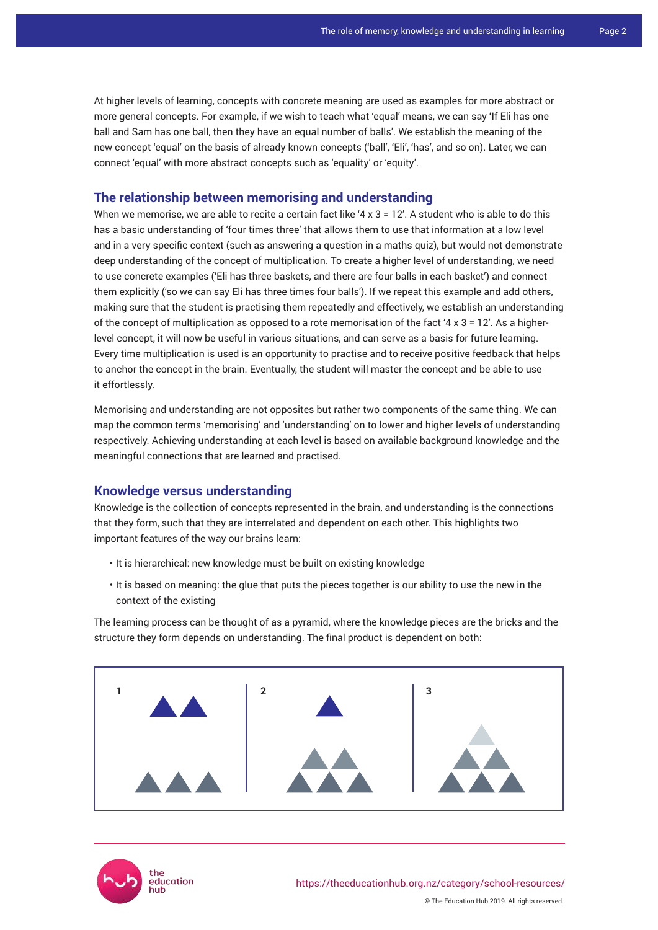At higher levels of learning, concepts with concrete meaning are used as examples for more abstract or more general concepts. For example, if we wish to teach what 'equal' means, we can say 'If Eli has one ball and Sam has one ball, then they have an equal number of balls'. We establish the meaning of the new concept 'equal' on the basis of already known concepts ('ball', 'Eli', 'has', and so on). Later, we can connect 'equal' with more abstract concepts such as 'equality' or 'equity'.

## **The relationship between memorising and understanding**

When we memorise, we are able to recite a certain fact like ' $4 \times 3 = 12'$ . A student who is able to do this has a basic understanding of 'four times three' that allows them to use that information at a low level and in a very specific context (such as answering a question in a maths quiz), but would not demonstrate deep understanding of the concept of multiplication. To create a higher level of understanding, we need to use concrete examples ('Eli has three baskets, and there are four balls in each basket') and connect them explicitly ('so we can say Eli has three times four balls'). If we repeat this example and add others, making sure that the student is practising them repeatedly and effectively, we establish an understanding of the concept of multiplication as opposed to a rote memorisation of the fact '4  $x$  3 = 12'. As a higherlevel concept, it will now be useful in various situations, and can serve as a basis for future learning. Every time multiplication is used is an opportunity to practise and to receive positive feedback that helps to anchor the concept in the brain. Eventually, the student will master the concept and be able to use it effortlessly.

Memorising and understanding are not opposites but rather two components of the same thing. We can map the common terms 'memorising' and 'understanding' on to lower and higher levels of understanding respectively. Achieving understanding at each level is based on available background knowledge and the meaningful connections that are learned and practised.

## **Knowledge versus understanding**

Knowledge is the collection of concepts represented in the brain, and understanding is the connections that they form, such that they are interrelated and dependent on each other. This highlights two important features of the way our brains learn:

- It is hierarchical: new knowledge must be built on existing knowledge
- It is based on meaning: the glue that puts the pieces together is our ability to use the new in the context of the existing

The learning process can be thought of as a pyramid, where the knowledge pieces are the bricks and the structure they form depends on understanding. The final product is dependent on both:





© The Education Hub 2019. All rights reserved.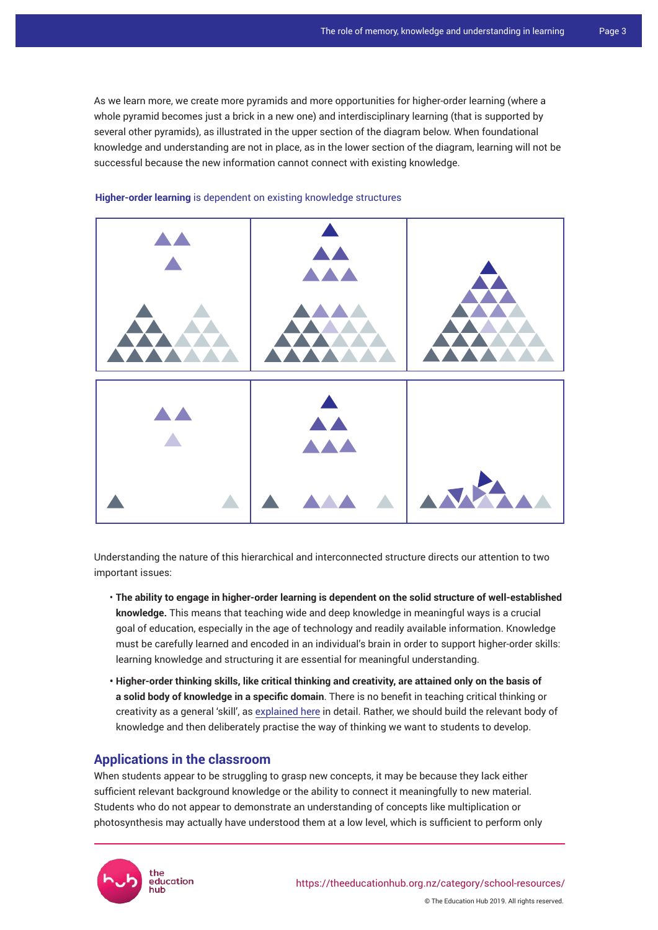As we learn more, we create more pyramids and more opportunities for higher-order learning (where a whole pyramid becomes just a brick in a new one) and interdisciplinary learning (that is supported by several other pyramids), as illustrated in the upper section of the diagram below. When foundational knowledge and understanding are not in place, as in the lower section of the diagram, learning will not be successful because the new information cannot connect with existing knowledge.



#### **Higher-order learning** is dependent on existing knowledge structures

Understanding the nature of this hierarchical and interconnected structure directs our attention to two important issues:

- **The ability to engage in higher-order learning is dependent on the solid structure of well-established knowledge.** This means that teaching wide and deep knowledge in meaningful ways is a crucial goal of education, especially in the age of technology and readily available information. Knowledge must be carefully learned and encoded in an individual's brain in order to support higher-order skills: learning knowledge and structuring it are essential for meaningful understanding.
- **Higher-order thinking skills, like critical thinking and creativity, are attained only on the basis of a solid body of knowledge in a specific domain**. There is no benefit in teaching critical thinking or creativity as a general 'skill', as [explained here](https://www.aft.org/sites/default/files/periodicals/Crit_Thinking.pdf) in detail. Rather, we should build the relevant body of knowledge and then deliberately practise the way of thinking we want to students to develop.

## **Applications in the classroom**

When students appear to be struggling to grasp new concepts, it may be because they lack either sufficient relevant background knowledge or the ability to connect it meaningfully to new material. Students who do not appear to demonstrate an understanding of concepts like multiplication or photosynthesis may actually have understood them at a low level, which is sufficient to perform only

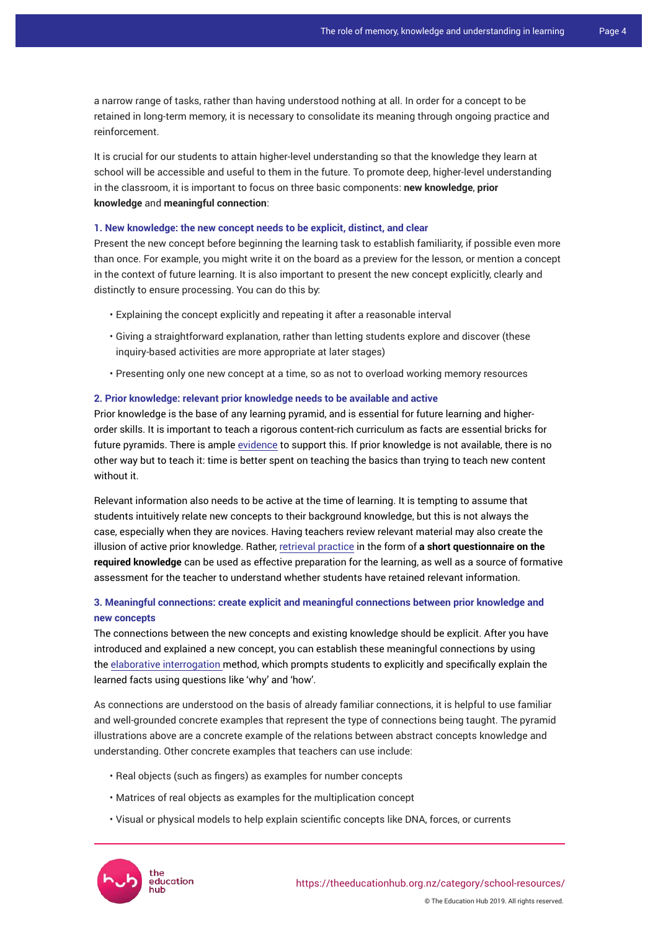a narrow range of tasks, rather than having understood nothing at all. In order for a concept to be retained in long-term memory, it is necessary to consolidate its meaning through ongoing practice and reinforcement.

It is crucial for our students to attain higher-level understanding so that the knowledge they learn at school will be accessible and useful to them in the future. To promote deep, higher-level understanding in the classroom, it is important to focus on three basic components: **new knowledge**, **prior knowledge** and **meaningful connection**:

#### **1. New knowledge: the new concept needs to be explicit, distinct, and clear**

Present the new concept before beginning the learning task to establish familiarity, if possible even more than once. For example, you might write it on the board as a preview for the lesson, or mention a concept in the context of future learning. It is also important to present the new concept explicitly, clearly and distinctly to ensure processing. You can do this by:

- Explaining the concept explicitly and repeating it after a reasonable interval
- Giving a straightforward explanation, rather than letting students explore and discover (these inquiry-based activities are more appropriate at later stages)
- Presenting only one new concept at a time, so as not to overload working memory resources

#### **2. Prior knowledge: relevant prior knowledge needs to be available and active**

Prior knowledge is the base of any learning pyramid, and is essential for future learning and higherorder skills. It is important to teach a rigorous content-rich curriculum as facts are essential bricks for future pyramids. There is ample [evidence](https://www.aft.org/sites/default/files/periodicals/Hirsch.pdf) to support this. If prior knowledge is not available, there is no other way but to teach it: time is better spent on teaching the basics than trying to teach new content without it.

Relevant information also needs to be active at the time of learning. It is tempting to assume that students intuitively relate new concepts to their background knowledge, but this is not always the case, especially when they are novices. Having teachers review relevant material may also create the illusion of active prior knowledge. Rather, [retrieval practice](https://theeducationhub.org.nz/the-benefits-of-retrieval-practice-in-learning/) in the form of **a short questionnaire on the required knowledge** can be used as effective preparation for the learning, as well as a source of formative assessment for the teacher to understand whether students have retained relevant information.

## **3. Meaningful connections: create explicit and meaningful connections between prior knowledge and new concepts**

The connections between the new concepts and existing knowledge should be explicit. After you have introduced and explained a new concept, you can establish these meaningful connections by using the elaborative interrogation method, which prompts students to explicitly and specifically explain the learned facts using questions like 'why' and 'how'.

As connections are understood on the basis of already familiar connections, it is helpful to use familiar and well-grounded concrete examples that represent the type of connections being taught. The pyramid illustrations above are a concrete example of the relations between abstract concepts knowledge and understanding. Other concrete examples that teachers can use include:

- Real objects (such as fingers) as examples for number concepts
- Matrices of real objects as examples for the multiplication concept
- Visual or physical models to help explain scientific concepts like DNA, forces, or currents



© The Education Hub 2019. All rights reserved.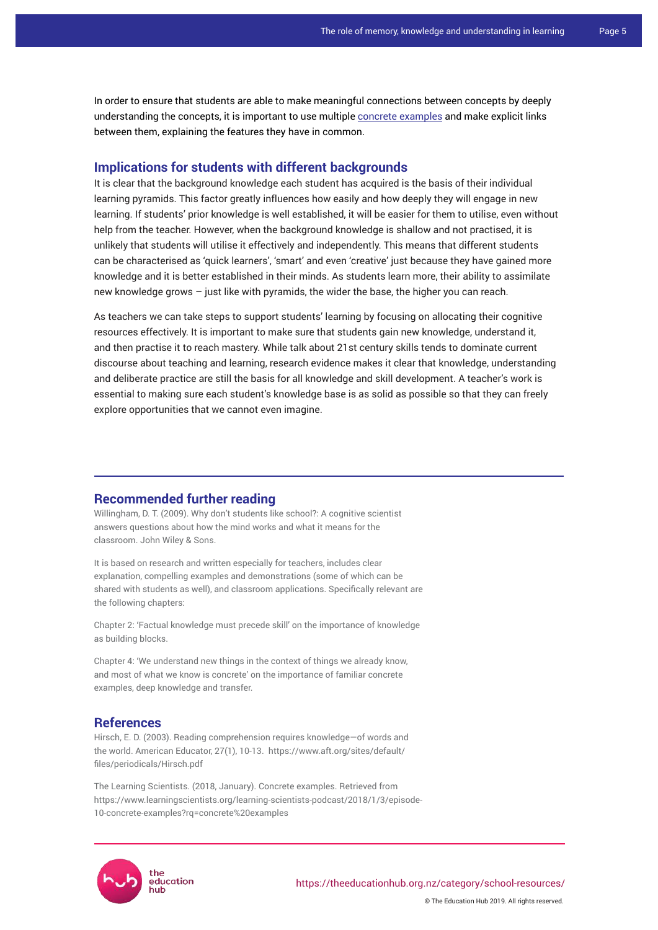In order to ensure that students are able to make meaningful connections between concepts by deeply understanding the concepts, it is important to use multiple [concrete examples](https://www.learningscientists.org/learning-scientists-podcast/2018/1/3/episode-10-concrete-examples?rq=concrete%20examples) and make explicit links between them, explaining the features they have in common.

## **Implications for students with different backgrounds**

It is clear that the background knowledge each student has acquired is the basis of their individual learning pyramids. This factor greatly influences how easily and how deeply they will engage in new learning. If students' prior knowledge is well established, it will be easier for them to utilise, even without help from the teacher. However, when the background knowledge is shallow and not practised, it is unlikely that students will utilise it effectively and independently. This means that different students can be characterised as 'quick learners', 'smart' and even 'creative' just because they have gained more knowledge and it is better established in their minds. As students learn more, their ability to assimilate new knowledge grows – just like with pyramids, the wider the base, the higher you can reach.

As teachers we can take steps to support students' learning by focusing on allocating their cognitive resources effectively. It is important to make sure that students gain new knowledge, understand it, and then practise it to reach mastery. While talk about 21st century skills tends to dominate current discourse about teaching and learning, research evidence makes it clear that knowledge, understanding and deliberate practice are still the basis for all knowledge and skill development. A teacher's work is essential to making sure each student's knowledge base is as solid as possible so that they can freely explore opportunities that we cannot even imagine.

#### **Recommended further reading**

Willingham, D. T. (2009). Why don't students like school?: A cognitive scientist answers questions about how the mind works and what it means for the classroom. John Wiley & Sons.

It is based on research and written especially for teachers, includes clear explanation, compelling examples and demonstrations (some of which can be shared with students as well), and classroom applications. Specifically relevant are the following chapters:

Chapter 2: 'Factual knowledge must precede skill' on the importance of knowledge as building blocks.

Chapter 4: 'We understand new things in the context of things we already know, and most of what we know is concrete' on the importance of familiar concrete examples, deep knowledge and transfer.

## **References**

Hirsch, E. D. (2003). Reading comprehension requires knowledge—of words and the world. American Educator, 27(1), 10-13. [https://www.aft.org/sites/default/](https://www.aft.org/sites/default/files/periodicals/Hirsch.pdf) [files/periodicals/Hirsch.pdf](https://www.aft.org/sites/default/files/periodicals/Hirsch.pdf)

The Learning Scientists. (2018, January). Concrete examples. Retrieved from https://www.learningscientists.org/learning-scientists-podcast/2018/1/3/episode-10-concrete-examples?rq=concrete%20examples